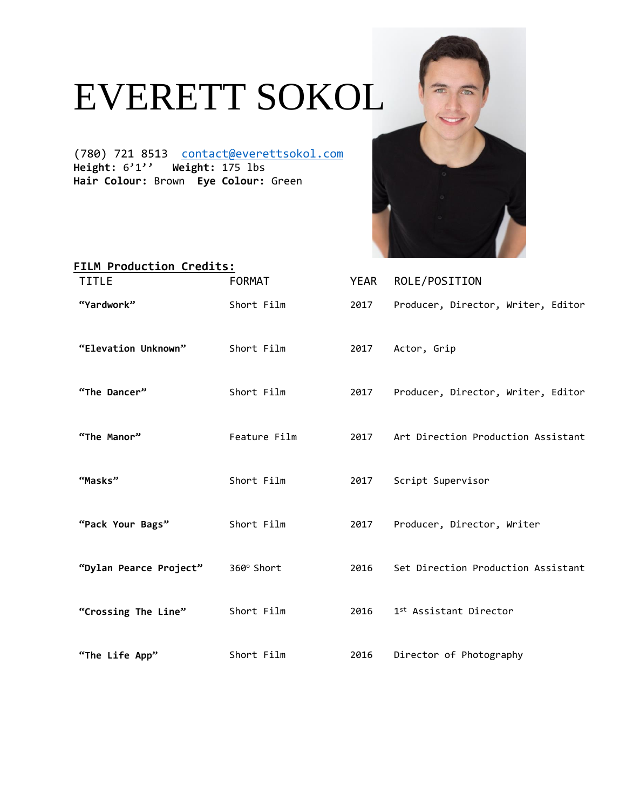## EVERETT SOKOL

(780) 721 8513 [contact@everettsokol.com](mailto:contact@everettsokol.com) **Height:** 6'1'' **Weight:** 175 lbs **Hair Colour:** Brown **Eye Colour:** Green



| FILM Production Credits: |               |      |                                    |  |  |
|--------------------------|---------------|------|------------------------------------|--|--|
| <b>TITLE</b>             | <b>FORMAT</b> | YEAR | ROLE/POSITION                      |  |  |
| "Yardwork"               | Short Film    | 2017 | Producer, Director, Writer, Editor |  |  |
| "Elevation Unknown"      | Short Film    | 2017 | Actor, Grip                        |  |  |
| "The Dancer"             | Short Film    | 2017 | Producer, Director, Writer, Editor |  |  |
| "The Manor"              | Feature Film  | 2017 | Art Direction Production Assistant |  |  |
| "Masks"                  | Short Film    | 2017 | Script Supervisor                  |  |  |
| "Pack Your Bags"         | Short Film    | 2017 | Producer, Director, Writer         |  |  |
| "Dylan Pearce Project"   | 360° Short    | 2016 | Set Direction Production Assistant |  |  |
| "Crossing The Line"      | Short Film    | 2016 | 1 <sup>st</sup> Assistant Director |  |  |
| "The Life App"           | Short Film    | 2016 | Director of Photography            |  |  |